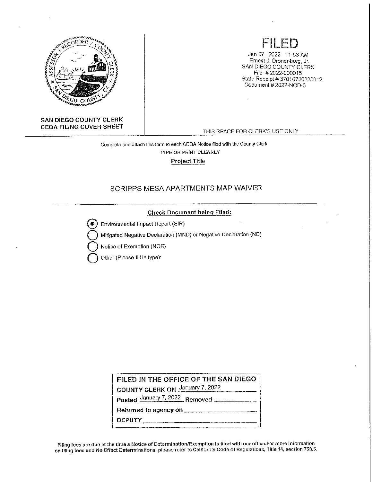

#### **SAN DIEGO COUNTY CLERK CEOA FILING COVER SHEET**

## FILED

Jan 07, 2022 11 :53 AM Ernest J. Dronenburg, Jr. SAN DIEGO COUNTY CLERK File # 2022-000015 State Receipt # 37010720220012 Document# 2022-NOD-3

THIS SPACE FOR CLERK'S USE ONLY

Complete and attach this form to each CEQA Notice filed with the County Clerk TYPE OR PRINT CLEARLY Project Title

### SCRIPPS MESA APARTMENTS MAP WAIVER

#### Check Document being Filed:

**0** Environmental Impact Report (EIR)

**Q** Mitigated Negative Declaration (MND) or Negative Declaration (ND)

**Q** Notice of Exemption (NOE)

**Q** Other (Please fill in type):

**FILED IN THE OFFICE OF THE SAN DIEGO** 

**COUNTY CLERK ON** January 7, 2022

**Posted January 7, 2022 Removed \_\_\_\_\_\_\_\_\_\_\_** 

**Returned to agency on \_\_\_\_\_\_\_\_\_\_ \_** 

**DEPUTY \_\_\_\_\_\_\_\_\_\_\_\_\_ \_** 

Filing fees are due at the time a Notice of Determination/Exemption is filed with our office.For more information on filing fees and No Effect Determinations, please refer to California Code of Regulations, Title 14, section 753.5.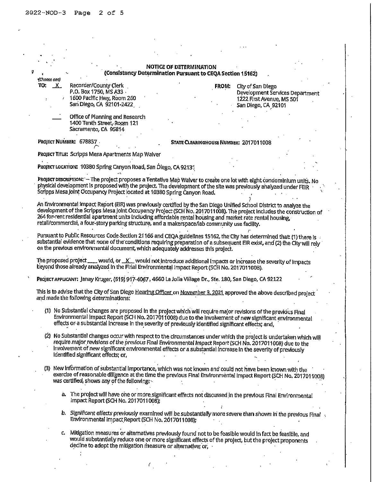|              |                                                                                                                                                                                                                 | <b>NOTICE OF DETERMINATION</b>                |              |                                 |  |
|--------------|-----------------------------------------------------------------------------------------------------------------------------------------------------------------------------------------------------------------|-----------------------------------------------|--------------|---------------------------------|--|
| (Choose one) | (Consistency Determination Pursuant to CEQA Section 15162)                                                                                                                                                      |                                               |              |                                 |  |
| TO: <u>X</u> | Recorder/County Clerk                                                                                                                                                                                           |                                               | <b>FROM:</b> | City of San Diego               |  |
|              | P.O. Box 1750, MS A33 -                                                                                                                                                                                         |                                               |              | Development Services Department |  |
|              | 1600 Pacific Hwy, Room 260                                                                                                                                                                                      |                                               |              | 1222 First Avenue, MS 501       |  |
|              | San Diego, CA 92101-2422                                                                                                                                                                                        |                                               |              | San Diego, CA 92101             |  |
|              |                                                                                                                                                                                                                 |                                               |              |                                 |  |
|              | Office of Planning and Research                                                                                                                                                                                 |                                               |              |                                 |  |
|              | 1400 Tenth Street, Room 121                                                                                                                                                                                     |                                               |              |                                 |  |
|              | Sacramento, CA 95814                                                                                                                                                                                            |                                               |              |                                 |  |
|              |                                                                                                                                                                                                                 |                                               |              |                                 |  |
|              | PROJECT NUMBER: 678857.                                                                                                                                                                                         | <b>STATE CLEARINGHOUSE NUMBER: 2017011008</b> |              |                                 |  |
|              | PROJECT TITLE: Scripps Mesa Apartments Map Walver                                                                                                                                                               |                                               |              |                                 |  |
|              |                                                                                                                                                                                                                 |                                               |              |                                 |  |
|              | Project Location: 10380 Spring Canyon Road, San Diego, CA 92131                                                                                                                                                 |                                               |              |                                 |  |
|              |                                                                                                                                                                                                                 |                                               |              |                                 |  |
|              | PROJECT DESCRIPTION: - The project proposes a Tentative Map Waiver to create one lot with eight condominium units. No                                                                                           |                                               |              |                                 |  |
|              | physical development is proposed with the project. The development of the site was previously analyzed under FEIR                                                                                               |                                               |              |                                 |  |
|              | Scripps Mesa Joint Occupancy Project located at 10380 Spring Canyon Road.                                                                                                                                       |                                               |              |                                 |  |
|              |                                                                                                                                                                                                                 |                                               |              |                                 |  |
|              | An Environmental impact Report (EIR) was previously certified by the San Diego Unified School District to analyze the                                                                                           |                                               |              |                                 |  |
|              | development of the Scripps Mesa Joint Occupancy Project (SCH No. 2017011008). The project includes the construction of                                                                                          |                                               |              |                                 |  |
|              | 264 for-rent residential apartment units including affordable rental housing and market rate rental housing,                                                                                                    |                                               |              |                                 |  |
|              | retail/commercial, a four-story parking structure, and a makerspace/lab community use facility.                                                                                                                 |                                               |              |                                 |  |
|              |                                                                                                                                                                                                                 |                                               |              |                                 |  |
|              | Pursuant to Public Resources Code Section 21166 and CEQA guidelines 15162, the City has determined that: (1) there is                                                                                           |                                               |              |                                 |  |
|              | substantial evidence that none of the conditions requiring preparation of a subsequent EIR exist, and (2) the City will rely                                                                                    |                                               |              |                                 |  |
|              | on the previous environmental document, which adequately addresses this project.                                                                                                                                |                                               |              |                                 |  |
|              |                                                                                                                                                                                                                 |                                               |              |                                 |  |
|              | The proposed project was would, or X would not introduce additional impacts or increase the severity of impacts<br>beyond those already analyzed in the Final Environmental Impact Report (SCH No. 2017011008). |                                               |              |                                 |  |
|              |                                                                                                                                                                                                                 |                                               |              |                                 |  |
|              | PROJECT APPLICANT: Janay Kruger, (619) 917-4067, 4660 La Jolla Village Dr., Ste. 180, San Diego, CA 92122                                                                                                       |                                               |              |                                 |  |
|              |                                                                                                                                                                                                                 |                                               |              |                                 |  |
|              | This is to advise that the City of San Diego Hearing Officer on November 3, 2021 approved the above described project                                                                                           |                                               |              |                                 |  |
|              | and made the following determinations:                                                                                                                                                                          |                                               |              |                                 |  |
|              |                                                                                                                                                                                                                 |                                               |              |                                 |  |
|              | (1) No Substantial changes are proposed in the project which will require major revisions of the previous Final                                                                                                 |                                               |              |                                 |  |
|              | Environmental impact Report (SCH No. 2017011008) due to the Involvement of new significant environmental                                                                                                        |                                               |              |                                 |  |
|              | effects or a substantial increase in the severity of previously identified significant effects; and,                                                                                                            |                                               |              |                                 |  |
|              |                                                                                                                                                                                                                 |                                               |              |                                 |  |
|              | (2) No Substantial changes occur with respect to the circumstances under which the project is undertaken which will                                                                                             |                                               |              |                                 |  |
|              | require major revisions of the previous Final Environmental Impact Report (SCH No. 2017011008) due to the                                                                                                       |                                               |              |                                 |  |
|              | Involvement of new significant environmental effects or a substantial increase in the severity of previously                                                                                                    |                                               |              |                                 |  |
|              | Identified significant effects; or,                                                                                                                                                                             |                                               |              |                                 |  |
|              |                                                                                                                                                                                                                 |                                               |              |                                 |  |
|              | (3) New information of substantial importance, which was not known and could not have been known with the                                                                                                       |                                               |              |                                 |  |
|              | exercise of reasonable diligence at the time the previous Final Environmental impact Report (SCH No. 2017011008)                                                                                                |                                               |              |                                 |  |
|              | was certified, shows any of the following:                                                                                                                                                                      |                                               |              |                                 |  |
|              |                                                                                                                                                                                                                 |                                               |              |                                 |  |
|              | a. The project will have one or more significant effects not discussed in the previous Final Environmental                                                                                                      |                                               |              |                                 |  |
|              | Impact Report (SCH No. 2017011008);                                                                                                                                                                             |                                               |              |                                 |  |
|              |                                                                                                                                                                                                                 |                                               |              |                                 |  |
|              | b. Significant effects previously examined will be substantially more severe than shown in the previous Final<br>Environmental impact Report (SCH No. 2017011008);                                              |                                               |              |                                 |  |
|              |                                                                                                                                                                                                                 |                                               |              |                                 |  |
|              |                                                                                                                                                                                                                 |                                               |              |                                 |  |
|              | c. Mitigation measures or alternatives previously found not to be feasible would in fact be feasible, and                                                                                                       |                                               |              |                                 |  |
|              | would substantially reduce one or more significant effects of the project, but the project proponents<br>decline to adopt the mitigation measure or alternative; or,                                            |                                               |              |                                 |  |
|              |                                                                                                                                                                                                                 |                                               |              |                                 |  |

 $\ddot{\phantom{a}}$ 

*I*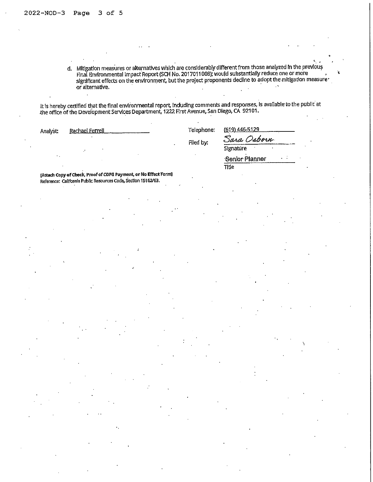d. Mitigation measures or alternatives which are considerably different from those analyzed In the prevlou~ Final Environmental Impact Report (SCH No. 2017011008); would substantially reduce one or more  $\,$ significant effects on the environment, but the project proponents decline to adopt the mitigation measure·  $\alpha$  alternative.  $\blacksquare$  .  $\blacksquare$  .  $\blacksquare$  .  $\blacksquare$  .  $\blacksquare$  .  $\blacksquare$  .  $\blacksquare$  .  $\blacksquare$  .  $\blacksquare$  .  $\blacksquare$  .  $\blacksquare$  .  $\blacksquare$  .  $\blacksquare$  .  $\blacksquare$  .  $\blacksquare$  .  $\blacksquare$  .  $\blacksquare$  .  $\blacksquare$  .  $\blacksquare$  .  $\blacksquare$  .  $\blacksquare$  .  $\blacksquare$  .  $\blacksquare$ 

It is hereby certified that the final environmental report, including comments and responses, is available to the public at the office of the Development Services Department, 1222 First Avenue, San Diego, CA 92101.

| Filed by:<br>Signature<br>н.,                                                                                                      | Analyst: | Rachael Ferrell | Telephone: | (619) 446-5129 |  |
|------------------------------------------------------------------------------------------------------------------------------------|----------|-----------------|------------|----------------|--|
|                                                                                                                                    |          |                 |            | Sara Osborn    |  |
|                                                                                                                                    |          |                 |            |                |  |
|                                                                                                                                    |          |                 |            | Senior Planner |  |
| Title                                                                                                                              |          |                 |            |                |  |
| [Attach Copy of Check, Proof of CDFG Payment, or No Effect Form]<br>Reference: California Public Resources Code, Section 15162/63. |          |                 |            |                |  |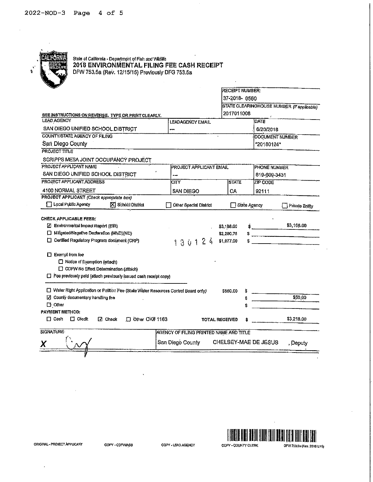

# State of California - Department of Fish and Wildlife<br>2018 ENVIRONMENTAL FILING FEE CASH RECEIPT<br>DFW 753.5a (Rev. 12/15/15) Previously DFG 753.5a

|                                                                                                                                                                         |                         | RECEIPT NUMBER:                        |                                            |
|-------------------------------------------------------------------------------------------------------------------------------------------------------------------------|-------------------------|----------------------------------------|--------------------------------------------|
|                                                                                                                                                                         |                         | 37-2018-0560                           |                                            |
|                                                                                                                                                                         |                         |                                        | STATE CLEARINGHOUSE NUMBER (If applicable) |
| SEE INSTRUCTIONS ON REVERSE. TYPE OR PRINT CLEARLY.                                                                                                                     |                         | 2017011008                             |                                            |
| <b>LEAD AGENCY</b>                                                                                                                                                      | LEAD AGENCY EMAIL       |                                        | DATE                                       |
| SAN DIEGO UNIFIED SCHOOL DISTRICT                                                                                                                                       | -                       |                                        | 6/20/2018                                  |
| COUNTY/STATE AGENCY OF FILING                                                                                                                                           |                         |                                        | DOCUMENT NUMBER                            |
| San Diego County                                                                                                                                                        |                         |                                        | *20180124*                                 |
| <b>PROJECT TITLE</b>                                                                                                                                                    |                         |                                        |                                            |
| SCRIPPS MESA JOINT OCCUPANCY PROJECT                                                                                                                                    |                         |                                        |                                            |
| PROJECT APPLICANT NAME                                                                                                                                                  | PROJECT APPLICANT EMAIL |                                        | <b>PHONE NUMBER</b>                        |
| SAN DIEGO UNIFIED SCHOOL DISTRICT                                                                                                                                       | بيب                     |                                        | 619-609-3431                               |
| PROJECT APPLICANT ADDRESS                                                                                                                                               | lCITY.                  | <b>STATE</b>                           | <b>ZIP CODE</b>                            |
| 4100 NORMAL STREET                                                                                                                                                      | <b>SAN DIEGO</b>        | CA                                     | 92111                                      |
| PROJECT APPLICANT (Check appropriate box)                                                                                                                               |                         |                                        |                                            |
| Local Public Agency<br>X School District                                                                                                                                | Other Special District  | State Agency                           | <b>Private Entity</b>                      |
| Z Environmental Impact Report (EIR)<br>□ Miligated/Negative Declaration (MND)(ND)<br>C Certified Regulatory Program document (CRP)                                      | 130124                  | \$3,168.00<br>\$2,280,75<br>\$1,077.00 | \$3,168.00                                 |
| $\Box$ Exempt from fee<br>□ Notice of Exemption (attach)<br>C CDFW No Effect Determination (attach)<br>Fee previously paid (attach previously issued cash receipt copy) |                         |                                        |                                            |
| □ Water Right Application or Petition Fee (State Water Resources Control Board only)                                                                                    |                         | \$850.00                               |                                            |
| □ County documentary handling fee<br>$\Box$ Other                                                                                                                       |                         |                                        | \$50.00                                    |
| PAYMENT METHOD:<br><b>ITI</b> Cash<br>$\Box$ Credit<br>$\Box$ Check<br>$\Box$ Other CK# 1163                                                                            |                         | <b>TOTAL RECEIVED</b>                  | \$3,218.00                                 |

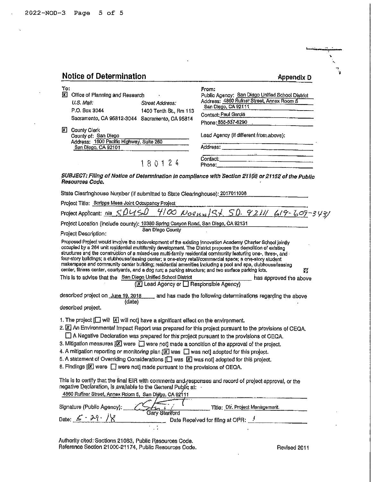$\bar{a}$ 

 $\bar{\chi}$ 

 $\bar{z}$ 

 $\ddot{\phantom{a}}$ 

| <b>Notice of Determination</b>                                                                                                                                                                                                                                                                                                                                                                                                                                                                                                                                                                                                                                                                                                                                                                  |                                                                                                                                                                              |
|-------------------------------------------------------------------------------------------------------------------------------------------------------------------------------------------------------------------------------------------------------------------------------------------------------------------------------------------------------------------------------------------------------------------------------------------------------------------------------------------------------------------------------------------------------------------------------------------------------------------------------------------------------------------------------------------------------------------------------------------------------------------------------------------------|------------------------------------------------------------------------------------------------------------------------------------------------------------------------------|
|                                                                                                                                                                                                                                                                                                                                                                                                                                                                                                                                                                                                                                                                                                                                                                                                 | Appendix D                                                                                                                                                                   |
| <b>X</b> Office of Planning and Research<br>U.S. Mail:<br>Street Address:<br>P.O. Box 3044<br>1400 Tenth St., Rm 113<br>Sacramento, CA 95812-3044 Sacramento, CA 95814                                                                                                                                                                                                                                                                                                                                                                                                                                                                                                                                                                                                                          | From:<br>Public Agency: San Diego Unified School District<br>Address: 4860 Rufner Street, Annex Room 5<br>San Diego, CA 92111<br>Contact: Paul Garcia<br>Phone: 858-637-6290 |
| <b>County Clerk</b><br>County of: San Diego<br>Address: 1600 Pacific Highway, Suite 260<br>San Diego, CA 92101                                                                                                                                                                                                                                                                                                                                                                                                                                                                                                                                                                                                                                                                                  | Lead Agency (if different from above):                                                                                                                                       |
| 180124                                                                                                                                                                                                                                                                                                                                                                                                                                                                                                                                                                                                                                                                                                                                                                                          |                                                                                                                                                                              |
| Resources Code.                                                                                                                                                                                                                                                                                                                                                                                                                                                                                                                                                                                                                                                                                                                                                                                 | SUBJECT: Filing of Notice of Determination in compliance with Section 21108 or 21152 of the Public                                                                           |
| State Clearinghouse Number (if submitted to State Clearinghouse): 2017011008                                                                                                                                                                                                                                                                                                                                                                                                                                                                                                                                                                                                                                                                                                                    |                                                                                                                                                                              |
| Project Title: Scripps Mesa Joint Occupancy Project                                                                                                                                                                                                                                                                                                                                                                                                                                                                                                                                                                                                                                                                                                                                             |                                                                                                                                                                              |
|                                                                                                                                                                                                                                                                                                                                                                                                                                                                                                                                                                                                                                                                                                                                                                                                 | Project Applicant: n/a $SDI/SD$ 4/00 $N$ 00 $N_0$ 01 $S\neq$ 50. 9211/619-609-3431                                                                                           |
| Project Location (include county): 10380 Spring Canyon Road, San Diego, CA 92131                                                                                                                                                                                                                                                                                                                                                                                                                                                                                                                                                                                                                                                                                                                |                                                                                                                                                                              |
| San Diego County<br>Project Description:                                                                                                                                                                                                                                                                                                                                                                                                                                                                                                                                                                                                                                                                                                                                                        |                                                                                                                                                                              |
| Proposed Project would involve the redevelopment of the existing innovation Academy Charler School jointly<br>occupied by a 264 unit residential multifamily development. The District proposes the demolition of existing<br>structures and the construction of a mixed-use multi-family residential community featuring one-, three-, and -<br>four-story buildings; a clubhouse/leasing center; a one-story retail/commercial space; a one-story student<br>makerspace and community center building; residential amenities including a pool and spa, clubhouse/leasing<br>center, fitness center, courtyards, and a dog run; a parking structure; and two surface parking lots.<br>This is to advise that the San Diego Unified School District<br>(X) Lead Agency or B Responsible Agency) | 打<br>has approved the above                                                                                                                                                  |
| described project on June 19, 2018 and has made the following determinations regarding the above<br>(date)<br>described project.                                                                                                                                                                                                                                                                                                                                                                                                                                                                                                                                                                                                                                                                |                                                                                                                                                                              |
| 1. The project $[\Box]$ will $[\times]$ will not] have a significant effect on the environment.<br>2. X An Environmental impact Report was prepared for this project pursuant to the provisions of CEQA.<br>A Negative Declaration was prepared for this project pursuant to the provisions of CEQA.<br>3. Mitigation measures $[\mathbb{X}]$ were $\Box$ were not) made a condition of the approval of the project.<br>4. A mitigation reporting or monitoring plan $[\overline{X}]$ was $\Box$ was not] adopted for this project.<br>5. A statement of Overriding Considerations [ ] was [X] was not] adopted for this project.<br>6. Findings [X] were [ ] were not] made pursuant to the provisions of CEQA.                                                                                |                                                                                                                                                                              |
| This is to certify that the final EIR with comments and responses and record of project approval, or the<br>negative Declaration, is available to the General Public at:<br>4860 Ruffner Street, Annex Room 5, San Diggo, CA 92111                                                                                                                                                                                                                                                                                                                                                                                                                                                                                                                                                              |                                                                                                                                                                              |
| Signature (Public Agency);                                                                                                                                                                                                                                                                                                                                                                                                                                                                                                                                                                                                                                                                                                                                                                      | Title: Dir. Project Management.                                                                                                                                              |
| <b>Gary Stariford</b><br>Date: $\leq \cdot 29.78$                                                                                                                                                                                                                                                                                                                                                                                                                                                                                                                                                                                                                                                                                                                                               | Date Received for filing at OPR: 1                                                                                                                                           |

Authority cited: Sections 21083, Public Resources Code.<br>Reference Section 21000-21174, Public Resources Code.